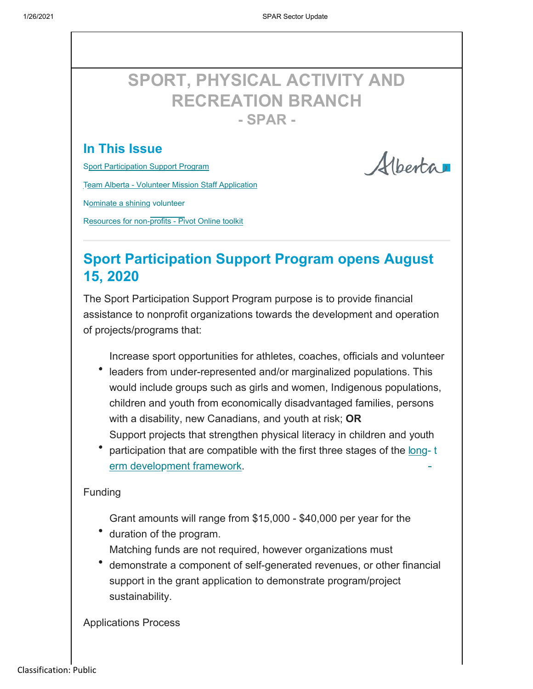# **SPORT, PHYSICAL ACTIVITY AND RECREATION BRANCH - SPAR -**

#### **In This Issue**

Sport Participation Support Program

Team Alberta - Volunteer Mission Staff Application

Nominate a shining volunteer

Resources for non-profits - Pivot Online toolkit

Albertar

### **Sport Participation Support Program opens August 15, 2020**

The Sport Participation Support Program purpose is to provide financial assistance to nonprofit organizations towards the development and operation of projects/programs that:

Increase sport opportunities for athletes, coaches, officials and volunteer

- leaders from under-represented and/or marginalized populations. This would include groups such as girls and women, Indigenous populations, children and youth from economically disadvantaged families, persons with a disability, new Canadians, and youth at risk; **OR** Support projects that strengthen physical literacy in children and youth
- participation that are compatible with the first three stages of the long-t erm development framework.

#### Funding

- Grant amounts will range from \$15,000 \$40,000 per year for the
- duration of the program. Matching funds are not required, however organizations must
- demonstrate a component of self-generated revenues, or other financial support in the grant application to demonstrate program/project sustainability.

Applications Process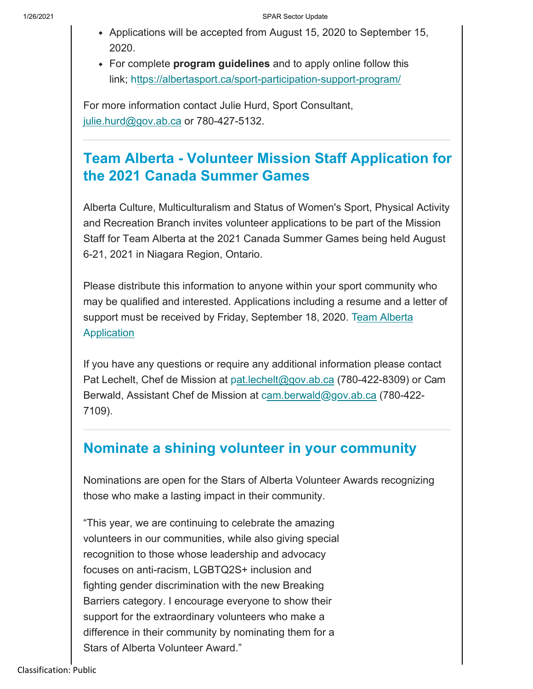- Applications will be accepted from August 15, 2020 to September 15, 2020.
- For complete **program guidelines** and to apply online follow this link; https://albertasport.ca/sport-participation-support-program/

For more information contact Julie Hurd, Sport Consultant, julie.hurd@gov.ab.ca or 780-427-5132.

## **Team Alberta - Volunteer Mission Staff Application for the 2021 Canada Summer Games**

Alberta Culture, Multiculturalism and Status of Women's Sport, Physical Activity and Recreation Branch invites volunteer applications to be part of the Mission Staff for Team Alberta at the 2021 Canada Summer Games being held August 6-21, 2021 in Niagara Region, Ontario.

Please distribute this information to anyone within your sport community who may be qualified and interested. Applications including a resume and a letter of support must be received by Friday, September 18, 2020. Team Alberta **Application** 

If you have any questions or require any additional information please contact Pat Lechelt, Chef de Mission at pat.lechelt@gov.ab.ca (780-422-8309) or Cam Berwald, Assistant Chef de Mission at cam.berwald@gov.ab.ca (780-422-7109).

### **Nominate a shining volunteer in your community**

Nominations are open for the Stars of Alberta Volunteer Awards recognizing those who make a lasting impact in their community.

"This year, we are continuing to celebrate the amazing volunteers in our communities, while also giving special recognition to those whose leadership and advocacy focuses on anti-racism, LGBTQ2S+ inclusion and fighting gender discrimination with the new Breaking Barriers category. I encourage everyone to show their support for the extraordinary volunteers who make a difference in their community by nominating them for a Stars of Alberta Volunteer Award."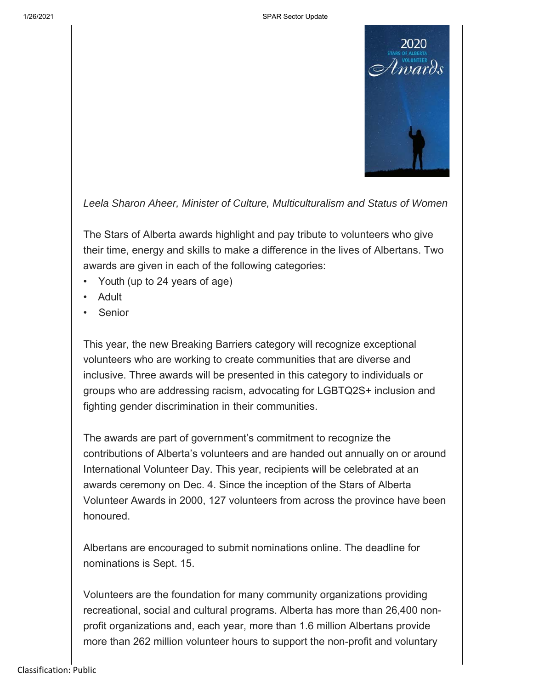



*Leela Sharon Aheer, Minister of Culture, Multiculturalism and Status of Women*

The Stars of Alberta awards highlight and pay tribute to volunteers who give their time, energy and skills to make a difference in the lives of Albertans. Two awards are given in each of the following categories:

- Youth (up to 24 years of age)
- Adult
- **Senior**

This year, the new Breaking Barriers category will recognize exceptional volunteers who are working to create communities that are diverse and inclusive. Three awards will be presented in this category to individuals or groups who are addressing racism, advocating for LGBTQ2S+ inclusion and fighting gender discrimination in their communities.

The awards are part of government's commitment to recognize the contributions of Alberta's volunteers and are handed out annually on or around International Volunteer Day. This year, recipients will be celebrated at an awards ceremony on Dec. 4. Since the inception of the Stars of Alberta Volunteer Awards in 2000, 127 volunteers from across the province have been honoured.

Albertans are encouraged to submit nominations online. The deadline for nominations is Sept. 15.

Volunteers are the foundation for many community organizations providing recreational, social and cultural programs. Alberta has more than 26,400 nonprofit organizations and, each year, more than 1.6 million Albertans provide more than 262 million volunteer hours to support the non-profit and voluntary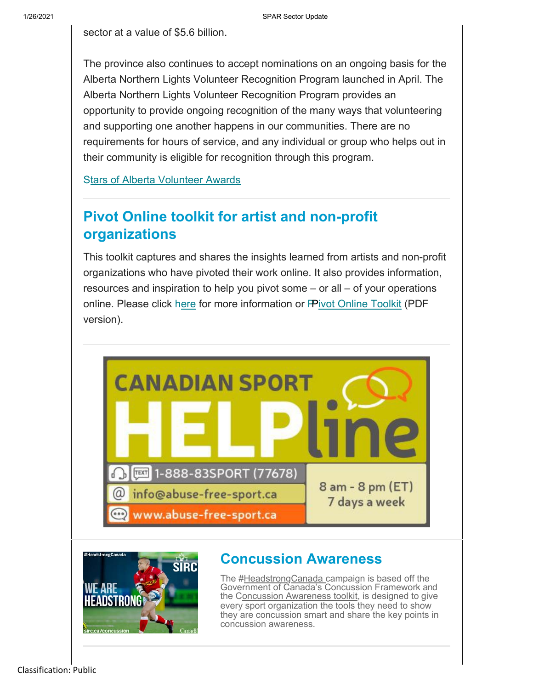1/26/2021 SPAR Sector Update

sector at a value of \$5.6 billion.

The province also continues to accept nominations on an ongoing basis for the Alberta Northern Lights Volunteer Recognition Program launched in April. The Alberta Northern Lights Volunteer Recognition Program provides an opportunity to provide ongoing recognition of the many ways that volunteering and supporting one another happens in our communities. There are no requirements for hours of service, and any individual or group who helps out in their community is eligible for recognition through this program.

**Stars of Alberta Volunteer Awards** 

## **Pivot Online toolkit for artist and non-profit organizations**

This toolkit captures and shares the insights learned from artists and non-profit organizations who have pivoted their work online. It also provides information, resources and inspiration to help you pivot some – or all – of your operations online. Please click h<u>ere</u> for more information or <del>IP</del>ivot Online Toolkit (PDF version).





#### **Concussion Awareness**

The #HeadstrongCanada campaign is based off the Government of Canada's Concussion Framework and the Concussion Awareness toolkit, is designed to give every sport organization the tools they need to show they are concussion smart and share the key points in concussion awareness.